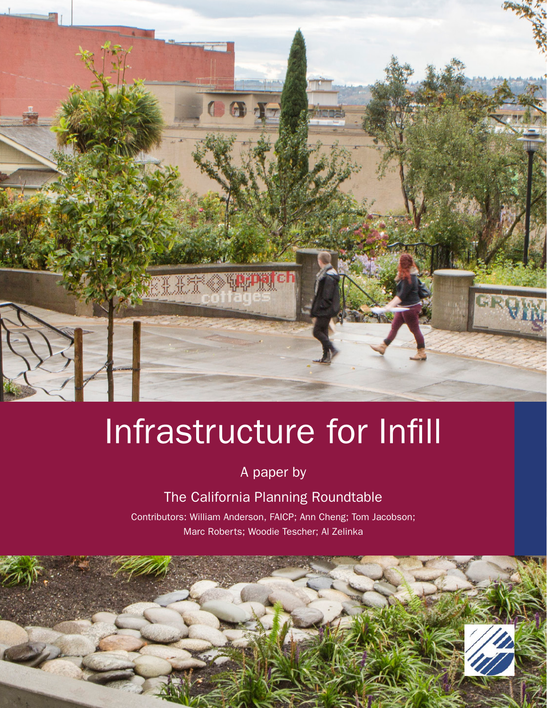

# Infrastructure for Infill

A paper by

The California Planning Roundtable

Contributors: William Anderson, FAICP; Ann Cheng; Tom Jacobson; Marc Roberts; Woodie Tescher; Al Zelinka

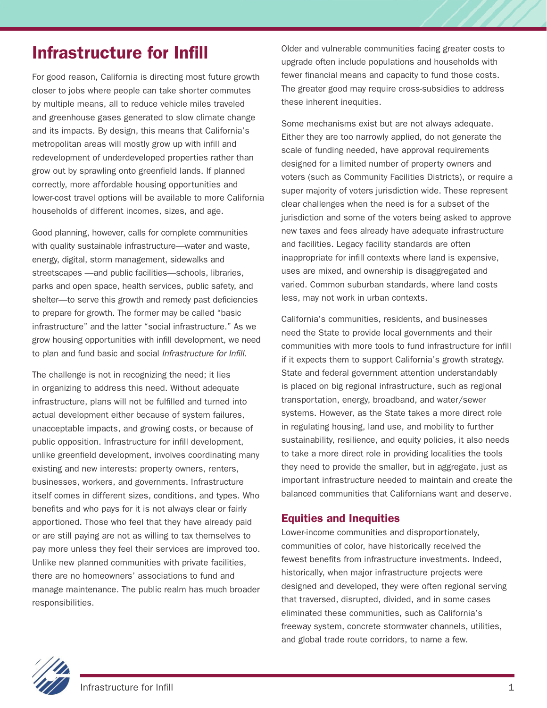# Infrastructure for Infill

For good reason, California is directing most future growth closer to jobs where people can take shorter commutes by multiple means, all to reduce vehicle miles traveled and greenhouse gases generated to slow climate change and its impacts. By design, this means that California's metropolitan areas will mostly grow up with infill and redevelopment of underdeveloped properties rather than grow out by sprawling onto greenfield lands. If planned correctly, more affordable housing opportunities and lower-cost travel options will be available to more California households of different incomes, sizes, and age.

Good planning, however, calls for complete communities with quality sustainable infrastructure—water and waste, energy, digital, storm management, sidewalks and streetscapes —and public facilities—schools, libraries, parks and open space, health services, public safety, and shelter—to serve this growth and remedy past deficiencies to prepare for growth. The former may be called "basic infrastructure" and the latter "social infrastructure." As we grow housing opportunities with infill development, we need to plan and fund basic and social *Infrastructure for Infill.* 

The challenge is not in recognizing the need; it lies in organizing to address this need. Without adequate infrastructure, plans will not be fulfilled and turned into actual development either because of system failures, unacceptable impacts, and growing costs, or because of public opposition. Infrastructure for infill development, unlike greenfield development, involves coordinating many existing and new interests: property owners, renters, businesses, workers, and governments. Infrastructure itself comes in different sizes, conditions, and types. Who benefits and who pays for it is not always clear or fairly apportioned. Those who feel that they have already paid or are still paying are not as willing to tax themselves to pay more unless they feel their services are improved too. Unlike new planned communities with private facilities, there are no homeowners' associations to fund and manage maintenance. The public realm has much broader responsibilities.

Older and vulnerable communities facing greater costs to upgrade often include populations and households with fewer financial means and capacity to fund those costs. The greater good may require cross-subsidies to address these inherent inequities.

Some mechanisms exist but are not always adequate. Either they are too narrowly applied, do not generate the scale of funding needed, have approval requirements designed for a limited number of property owners and voters (such as Community Facilities Districts), or require a super majority of voters jurisdiction wide. These represent clear challenges when the need is for a subset of the jurisdiction and some of the voters being asked to approve new taxes and fees already have adequate infrastructure and facilities. Legacy facility standards are often inappropriate for infill contexts where land is expensive, uses are mixed, and ownership is disaggregated and varied. Common suburban standards, where land costs less, may not work in urban contexts.

California's communities, residents, and businesses need the State to provide local governments and their communities with more tools to fund infrastructure for infill if it expects them to support California's growth strategy. State and federal government attention understandably is placed on big regional infrastructure, such as regional transportation, energy, broadband, and water/sewer systems. However, as the State takes a more direct role in regulating housing, land use, and mobility to further sustainability, resilience, and equity policies, it also needs to take a more direct role in providing localities the tools they need to provide the smaller, but in aggregate, just as important infrastructure needed to maintain and create the balanced communities that Californians want and deserve.

## Equities and Inequities

Lower-income communities and disproportionately, communities of color, have historically received the fewest benefits from infrastructure investments. Indeed, historically, when major infrastructure projects were designed and developed, they were often regional serving that traversed, disrupted, divided, and in some cases eliminated these communities, such as California's freeway system, concrete stormwater channels, utilities, and global trade route corridors, to name a few.

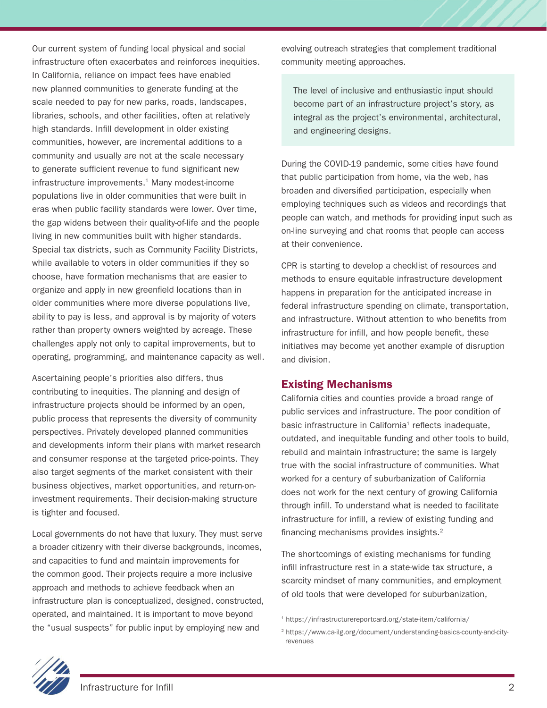Our current system of funding local physical and social infrastructure often exacerbates and reinforces inequities. In California, reliance on impact fees have enabled new planned communities to generate funding at the scale needed to pay for new parks, roads, landscapes, libraries, schools, and other facilities, often at relatively high standards. Infill development in older existing communities, however, are incremental additions to a community and usually are not at the scale necessary to generate sufficient revenue to fund significant new infrastructure improvements.<sup>1</sup> Many modest-income populations live in older communities that were built in eras when public facility standards were lower. Over time, the gap widens between their quality-of-life and the people living in new communities built with higher standards. Special tax districts, such as Community Facility Districts, while available to voters in older communities if they so choose, have formation mechanisms that are easier to organize and apply in new greenfield locations than in older communities where more diverse populations live, ability to pay is less, and approval is by majority of voters rather than property owners weighted by acreage. These challenges apply not only to capital improvements, but to operating, programming, and maintenance capacity as well.

Ascertaining people's priorities also differs, thus contributing to inequities. The planning and design of infrastructure projects should be informed by an open, public process that represents the diversity of community perspectives. Privately developed planned communities and developments inform their plans with market research and consumer response at the targeted price-points. They also target segments of the market consistent with their business objectives, market opportunities, and return-oninvestment requirements. Their decision-making structure is tighter and focused.

Local governments do not have that luxury. They must serve a broader citizenry with their diverse backgrounds, incomes, and capacities to fund and maintain improvements for the common good. Their projects require a more inclusive approach and methods to achieve feedback when an infrastructure plan is conceptualized, designed, constructed, operated, and maintained. It is important to move beyond the "usual suspects" for public input by employing new and

evolving outreach strategies that complement traditional community meeting approaches.

The level of inclusive and enthusiastic input should become part of an infrastructure project's story, as integral as the project's environmental, architectural, and engineering designs.

During the COVID-19 pandemic, some cities have found that public participation from home, via the web, has broaden and diversified participation, especially when employing techniques such as videos and recordings that people can watch, and methods for providing input such as on-line surveying and chat rooms that people can access at their convenience.

CPR is starting to develop a checklist of resources and methods to ensure equitable infrastructure development happens in preparation for the anticipated increase in federal infrastructure spending on climate, transportation, and infrastructure. Without attention to who benefits from infrastructure for infill, and how people benefit, these initiatives may become yet another example of disruption and division.

#### Existing Mechanisms

California cities and counties provide a broad range of public services and infrastructure. The poor condition of basic infrastructure in California<sup>1</sup> reflects inadequate, outdated, and inequitable funding and other tools to build, rebuild and maintain infrastructure; the same is largely true with the social infrastructure of communities. What worked for a century of suburbanization of California does not work for the next century of growing California through infill. To understand what is needed to facilitate infrastructure for infill, a review of existing funding and financing mechanisms provides insights.2

The shortcomings of existing mechanisms for funding infill infrastructure rest in a state-wide tax structure, a scarcity mindset of many communities, and employment of old tools that were developed for suburbanization,



<sup>1</sup> https://infrastructurereportcard.org/state-item/california/

<sup>2</sup> https://www.ca-ilg.org/document/understanding-basics-county-and-cityrevenues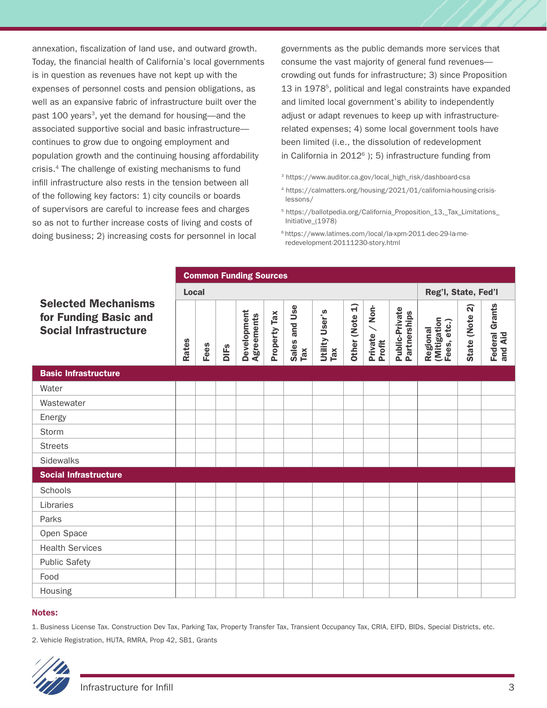annexation, fiscalization of land use, and outward growth. Today, the financial health of California's local governments is in question as revenues have not kept up with the expenses of personnel costs and pension obligations, as well as an expansive fabric of infrastructure built over the past 100 years<sup>3</sup>, yet the demand for housing—and the associated supportive social and basic infrastructure continues to grow due to ongoing employment and population growth and the continuing housing affordability crisis.4 The challenge of existing mechanisms to fund infill infrastructure also rests in the tension between all of the following key factors: 1) city councils or boards of supervisors are careful to increase fees and charges so as not to further increase costs of living and costs of doing business; 2) increasing costs for personnel in local

governments as the public demands more services that consume the vast majority of general fund revenues crowding out funds for infrastructure; 3) since Proposition 13 in 19785, political and legal constraints have expanded and limited local government's ability to independently adjust or adapt revenues to keep up with infrastructurerelated expenses; 4) some local government tools have been limited (i.e., the dissolution of redevelopment in California in  $2012^6$  ); 5) infrastructure funding from

- 3 https://www.auditor.ca.gov/local\_high\_risk/dashboard-csa
- 4 https://calmatters.org/housing/2021/01/california-housing-crisislessons/
- 5 https://ballotpedia.org/California\_Proposition\_13,\_Tax\_Limitations\_ Initiative\_(1978)
- 6 https://www.latimes.com/local/la-xpm-2011-dec-29-la-meredevelopment-20111230-story.html

|                                                                                     | <b>Common Funding Sources</b> |      |             |                                  |              |                      |                              |                              |                               |                                |                                        |                                |                                  |
|-------------------------------------------------------------------------------------|-------------------------------|------|-------------|----------------------------------|--------------|----------------------|------------------------------|------------------------------|-------------------------------|--------------------------------|----------------------------------------|--------------------------------|----------------------------------|
| <b>Selected Mechanisms</b><br>for Funding Basic and<br><b>Social Infrastructure</b> | <b>Local</b>                  |      |             |                                  |              |                      |                              |                              |                               |                                | Reg'l, State, Fed'l                    |                                |                                  |
|                                                                                     | <b>Rates</b>                  | Fees | <b>DIFs</b> | Development<br><b>Agreements</b> | Property Tax | Sales and Use<br>Tax | <b>Utility User's</b><br>TaX | $\widehat{H}$<br>Other (Note | $/$ Non-<br>Private<br>Profit | Public-Private<br>Partnerships | (Mitigation<br>Fees, etc.)<br>Regional | <u>ର</u><br><b>State (Note</b> | <b>Federal Grants</b><br>and Aid |
| <b>Basic Infrastructure</b>                                                         |                               |      |             |                                  |              |                      |                              |                              |                               |                                |                                        |                                |                                  |
| Water                                                                               |                               |      |             |                                  |              |                      |                              |                              |                               |                                |                                        |                                |                                  |
| Wastewater                                                                          |                               |      |             |                                  |              |                      |                              |                              |                               |                                |                                        |                                |                                  |
| Energy                                                                              |                               |      |             |                                  |              |                      |                              |                              |                               |                                |                                        |                                |                                  |
| Storm                                                                               |                               |      |             |                                  |              |                      |                              |                              |                               |                                |                                        |                                |                                  |
| <b>Streets</b>                                                                      |                               |      |             |                                  |              |                      |                              |                              |                               |                                |                                        |                                |                                  |
| Sidewalks                                                                           |                               |      |             |                                  |              |                      |                              |                              |                               |                                |                                        |                                |                                  |
| <b>Social Infrastructure</b>                                                        |                               |      |             |                                  |              |                      |                              |                              |                               |                                |                                        |                                |                                  |
| Schools                                                                             |                               |      |             |                                  |              |                      |                              |                              |                               |                                |                                        |                                |                                  |
| Libraries                                                                           |                               |      |             |                                  |              |                      |                              |                              |                               |                                |                                        |                                |                                  |
| Parks                                                                               |                               |      |             |                                  |              |                      |                              |                              |                               |                                |                                        |                                |                                  |
| Open Space                                                                          |                               |      |             |                                  |              |                      |                              |                              |                               |                                |                                        |                                |                                  |
| <b>Health Services</b>                                                              |                               |      |             |                                  |              |                      |                              |                              |                               |                                |                                        |                                |                                  |
| <b>Public Safety</b>                                                                |                               |      |             |                                  |              |                      |                              |                              |                               |                                |                                        |                                |                                  |
| Food                                                                                |                               |      |             |                                  |              |                      |                              |                              |                               |                                |                                        |                                |                                  |
| Housing                                                                             |                               |      |             |                                  |              |                      |                              |                              |                               |                                |                                        |                                |                                  |

#### Notes:

1. Business License Tax. Construction Dev Tax, Parking Tax, Property Transfer Tax, Transient Occupancy Tax, CRIA, EIFD, BIDs, Special Districts, etc.

2. Vehicle Registration, HUTA, RMRA, Prop 42, SB1, Grants

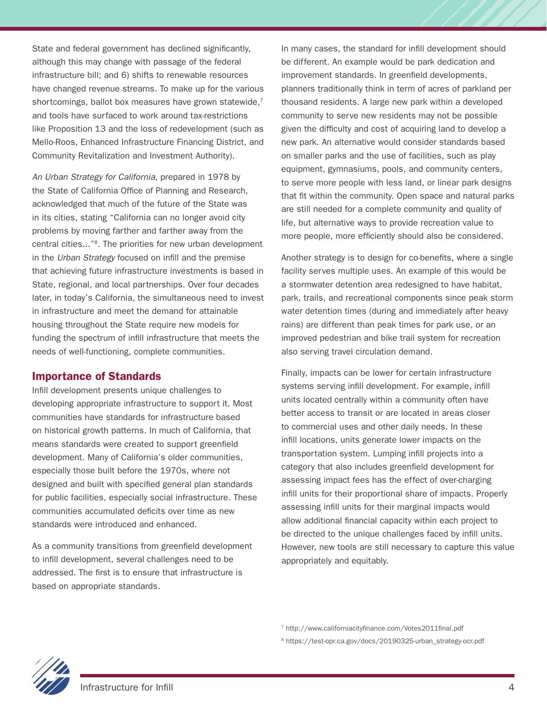State and federal government has declined significantly, although this may change with passage of the federal infrastructure bill; and 6) shifts to renewable resources have changed revenue streams. To make up for the various shortcomings, ballot box measures have grown statewide,<sup>7</sup> and tools have surfaced to work around tax-restrictions like Proposition 13 and the loss of redevelopment (such as Mello-Roos, Enhanced Infrastructure Financing District, and Community Revitalization and Investment Authority).

*An Urban Strategy for California*, prepared in 1978 by the State of California Office of Planning and Research, acknowledged that much of the future of the State was in its cities, stating "California can no longer avoid city problems by moving farther and farther away from the central cities..."8. The priorities for new urban development in the *Urban Strategy* focused on infill and the premise that achieving future infrastructure investments is based in State, regional, and local partnerships. Over four decades later, in today's California, the simultaneous need to invest in infrastructure and meet the demand for attainable housing throughout the State require new models for funding the spectrum of infill infrastructure that meets the needs of well-functioning, complete communities.

#### Importance of Standards

Infill development presents unique challenges to developing appropriate infrastructure to support it. Most communities have standards for infrastructure based on historical growth patterns. In much of California, that means standards were created to support greenfield development. Many of California's older communities, especially those built before the 1970s, where not designed and built with specified general plan standards for public facilities, especially social infrastructure. These communities accumulated deficits over time as new standards were introduced and enhanced.

As a community transitions from greenfield development to infill development, several challenges need to be addressed. The first is to ensure that infrastructure is based on appropriate standards.

In many cases, the standard for infill development should be different. An example would be park dedication and improvement standards. In greenfield developments, planners traditionally think in term of acres of parkland per thousand residents. A large new park within a developed community to serve new residents may not be possible given the difficulty and cost of acquiring land to develop a new park. An alternative would consider standards based on smaller parks and the use of facilities, such as play equipment, gymnasiums, pools, and community centers, to serve more people with less land, or linear park designs that fit within the community. Open space and natural parks are still needed for a complete community and quality of life, but alternative ways to provide recreation value to more people, more efficiently should also be considered.

Another strategy is to design for co-benefits, where a single facility serves multiple uses. An example of this would be a stormwater detention area redesigned to have habitat, park, trails, and recreational components since peak storm water detention times (during and immediately after heavy rains) are different than peak times for park use, or an improved pedestrian and bike trail system for recreation also serving travel circulation demand.

Finally, impacts can be lower for certain infrastructure systems serving infill development. For example, infill units located centrally within a community often have better access to transit or are located in areas closer to commercial uses and other daily needs. In these infill locations, units generate lower impacts on the transportation system. Lumping infill projects into a category that also includes greenfield development for assessing impact fees has the effect of over-charging infill units for their proportional share of impacts. Properly assessing infill units for their marginal impacts would allow additional financial capacity within each project to be directed to the unique challenges faced by infill units. However, new tools are still necessary to capture this value appropriately and equitably.

7 http://www.californiacityfinance.com/Votes2011final.pdf

8 https://test-opr.ca.gov/docs/20190325-urban\_strategy-ocr.pdf

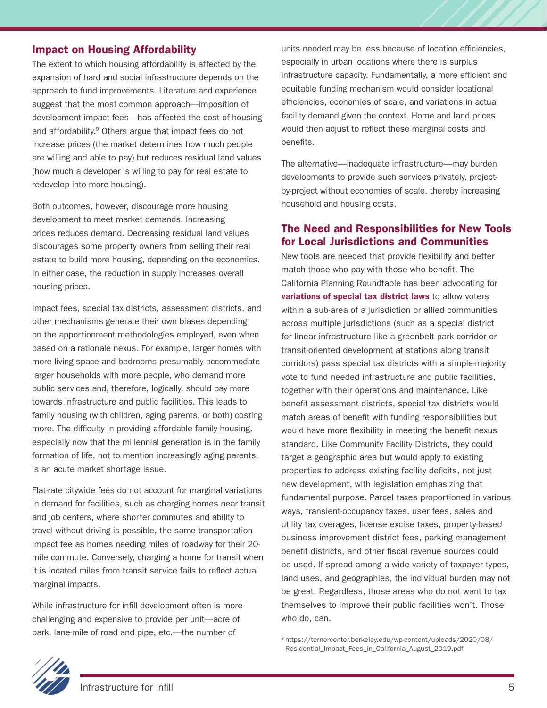## Impact on Housing Affordability

The extent to which housing affordability is affected by the expansion of hard and social infrastructure depends on the approach to fund improvements. Literature and experience suggest that the most common approach—imposition of development impact fees—has affected the cost of housing and affordability.<sup>9</sup> Others argue that impact fees do not increase prices (the market determines how much people are willing and able to pay) but reduces residual land values (how much a developer is willing to pay for real estate to redevelop into more housing).

Both outcomes, however, discourage more housing development to meet market demands. Increasing prices reduces demand. Decreasing residual land values discourages some property owners from selling their real estate to build more housing, depending on the economics. In either case, the reduction in supply increases overall housing prices.

Impact fees, special tax districts, assessment districts, and other mechanisms generate their own biases depending on the apportionment methodologies employed, even when based on a rationale nexus. For example, larger homes with more living space and bedrooms presumably accommodate larger households with more people, who demand more public services and, therefore, logically, should pay more towards infrastructure and public facilities. This leads to family housing (with children, aging parents, or both) costing more. The difficulty in providing affordable family housing, especially now that the millennial generation is in the family formation of life, not to mention increasingly aging parents, is an acute market shortage issue.

Flat-rate citywide fees do not account for marginal variations in demand for facilities, such as charging homes near transit and job centers, where shorter commutes and ability to travel without driving is possible, the same transportation impact fee as homes needing miles of roadway for their 20 mile commute. Conversely, charging a home for transit when it is located miles from transit service fails to reflect actual marginal impacts.

While infrastructure for infill development often is more challenging and expensive to provide per unit—acre of park, lane-mile of road and pipe, etc.—the number of

units needed may be less because of location efficiencies, especially in urban locations where there is surplus infrastructure capacity. Fundamentally, a more efficient and equitable funding mechanism would consider locational efficiencies, economies of scale, and variations in actual facility demand given the context. Home and land prices would then adjust to reflect these marginal costs and benefits.

The alternative—inadequate infrastructure—may burden developments to provide such services privately, projectby-project without economies of scale, thereby increasing household and housing costs.

#### The Need and Responsibilities for New Tools for Local Jurisdictions and Communities

New tools are needed that provide flexibility and better match those who pay with those who benefit. The California Planning Roundtable has been advocating for variations of special tax district laws to allow voters within a sub-area of a jurisdiction or allied communities across multiple jurisdictions (such as a special district for linear infrastructure like a greenbelt park corridor or transit-oriented development at stations along transit corridors) pass special tax districts with a simple-majority vote to fund needed infrastructure and public facilities, together with their operations and maintenance. Like benefit assessment districts, special tax districts would match areas of benefit with funding responsibilities but would have more flexibility in meeting the benefit nexus standard. Like Community Facility Districts, they could target a geographic area but would apply to existing properties to address existing facility deficits, not just new development, with legislation emphasizing that fundamental purpose. Parcel taxes proportioned in various ways, transient-occupancy taxes, user fees, sales and utility tax overages, license excise taxes, property-based business improvement district fees, parking management benefit districts, and other fiscal revenue sources could be used. If spread among a wide variety of taxpayer types, land uses, and geographies, the individual burden may not be great. Regardless, those areas who do not want to tax themselves to improve their public facilities won't. Those who do, can.

<sup>9</sup> https://ternercenter.berkeley.edu/wp-content/uploads/2020/08/ Residential\_Impact\_Fees\_in\_California\_August\_2019.pdf